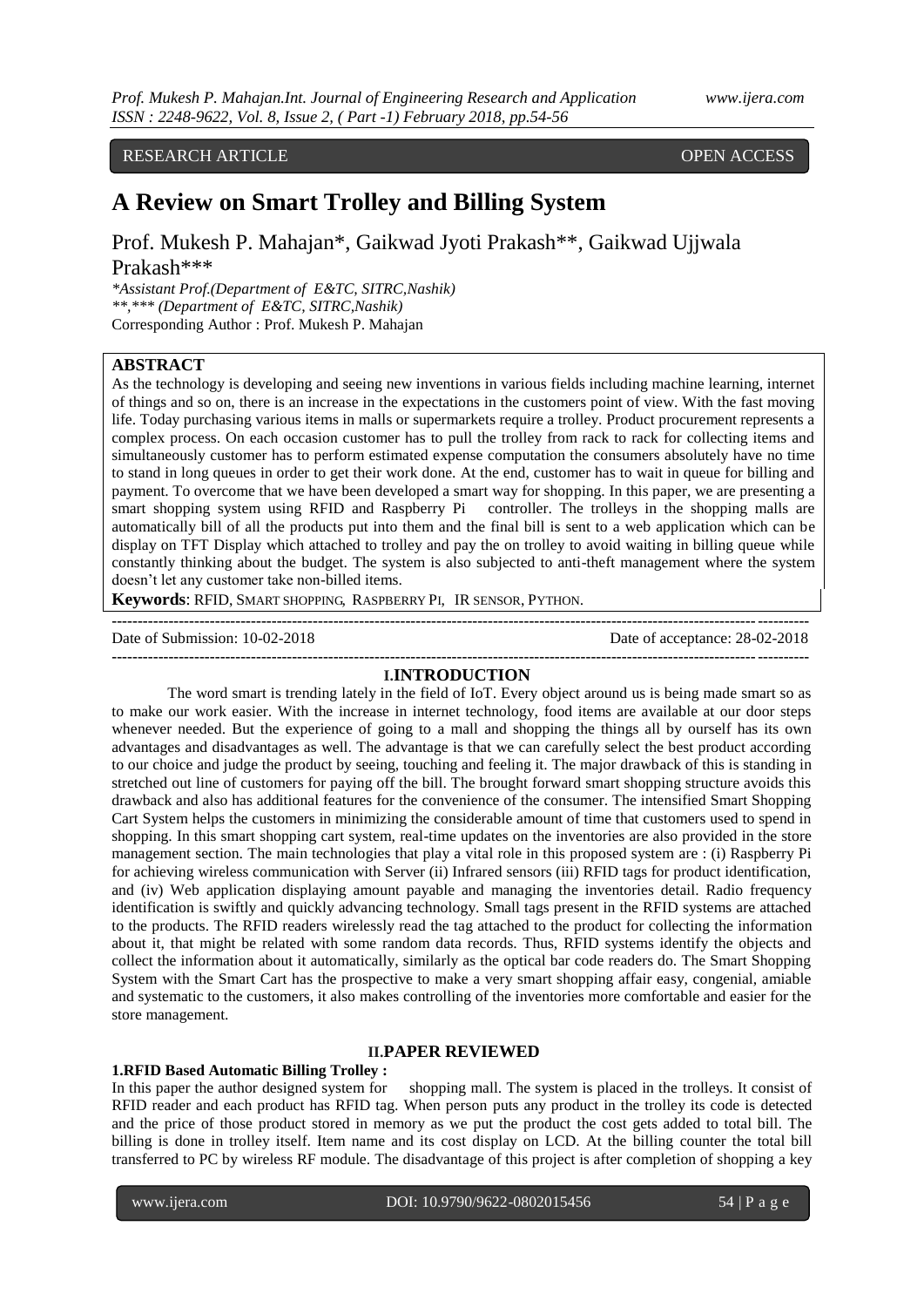# RESEARCH ARTICLE OPEN ACCESS

# **A Review on Smart Trolley and Billing System**

Prof. Mukesh P. Mahajan\*, Gaikwad Jyoti Prakash\*\*, Gaikwad Ujjwala Prakash\*\*\*

*\*Assistant Prof.(Department of E&TC, SITRC,Nashik) \*\*,\*\*\* (Department of E&TC, SITRC,Nashik)* Corresponding Author : Prof. Mukesh P. Mahajan

# **ABSTRACT**

As the technology is developing and seeing new inventions in various fields including machine learning, internet of things and so on, there is an increase in the expectations in the customers point of view. With the fast moving life. Today purchasing various items in malls or supermarkets require a trolley. Product procurement represents a complex process. On each occasion customer has to pull the trolley from rack to rack for collecting items and simultaneously customer has to perform estimated expense computation the consumers absolutely have no time to stand in long queues in order to get their work done. At the end, customer has to wait in queue for billing and payment. To overcome that we have been developed a smart way for shopping. In this paper, we are presenting a smart shopping system using RFID and Raspberry Pi controller. The trolleys in the shopping malls are automatically bill of all the products put into them and the final bill is sent to a web application which can be display on TFT Display which attached to trolley and pay the on trolley to avoid waiting in billing queue while constantly thinking about the budget. The system is also subjected to anti-theft management where the system doesn't let any customer take non-billed items.

**Keywords**: RFID, SMART SHOPPING, RASPBERRY PI, IR SENSOR, PYTHON.

Date of Submission: 10-02-2018 Date of acceptance: 28-02-2018

#### **--------------------------------------------------------------------------------------------------------------------------------------- I.INTRODUCTION**

**---------------------------------------------------------------------------------------------------------------------------------------**

The word smart is trending lately in the field of IoT. Every object around us is being made smart so as to make our work easier. With the increase in internet technology, food items are available at our door steps whenever needed. But the experience of going to a mall and shopping the things all by ourself has its own advantages and disadvantages as well. The advantage is that we can carefully select the best product according to our choice and judge the product by seeing, touching and feeling it. The major drawback of this is standing in stretched out line of customers for paying off the bill. The brought forward smart shopping structure avoids this drawback and also has additional features for the convenience of the consumer. The intensified Smart Shopping Cart System helps the customers in minimizing the considerable amount of time that customers used to spend in shopping. In this smart shopping cart system, real-time updates on the inventories are also provided in the store management section. The main technologies that play a vital role in this proposed system are : (i) Raspberry Pi for achieving wireless communication with Server (ii) Infrared sensors (iii) RFID tags for product identification, and (iv) Web application displaying amount payable and managing the inventories detail. Radio frequency identification is swiftly and quickly advancing technology. Small tags present in the RFID systems are attached to the products. The RFID readers wirelessly read the tag attached to the product for collecting the information about it, that might be related with some random data records. Thus, RFID systems identify the objects and collect the information about it automatically, similarly as the optical bar code readers do. The Smart Shopping System with the Smart Cart has the prospective to make a very smart shopping affair easy, congenial, amiable and systematic to the customers, it also makes controlling of the inventories more comfortable and easier for the store management.

#### **II.PAPER REVIEWED**

#### **1.RFID Based Automatic Billing Trolley :**

In this paper the author designed system for shopping mall. The system is placed in the trolleys. It consist of RFID reader and each product has RFID tag. When person puts any product in the trolley its code is detected and the price of those product stored in memory as we put the product the cost gets added to total bill. The billing is done in trolley itself. Item name and its cost display on LCD. At the billing counter the total bill transferred to PC by wireless RF module. The disadvantage of this project is after completion of shopping a key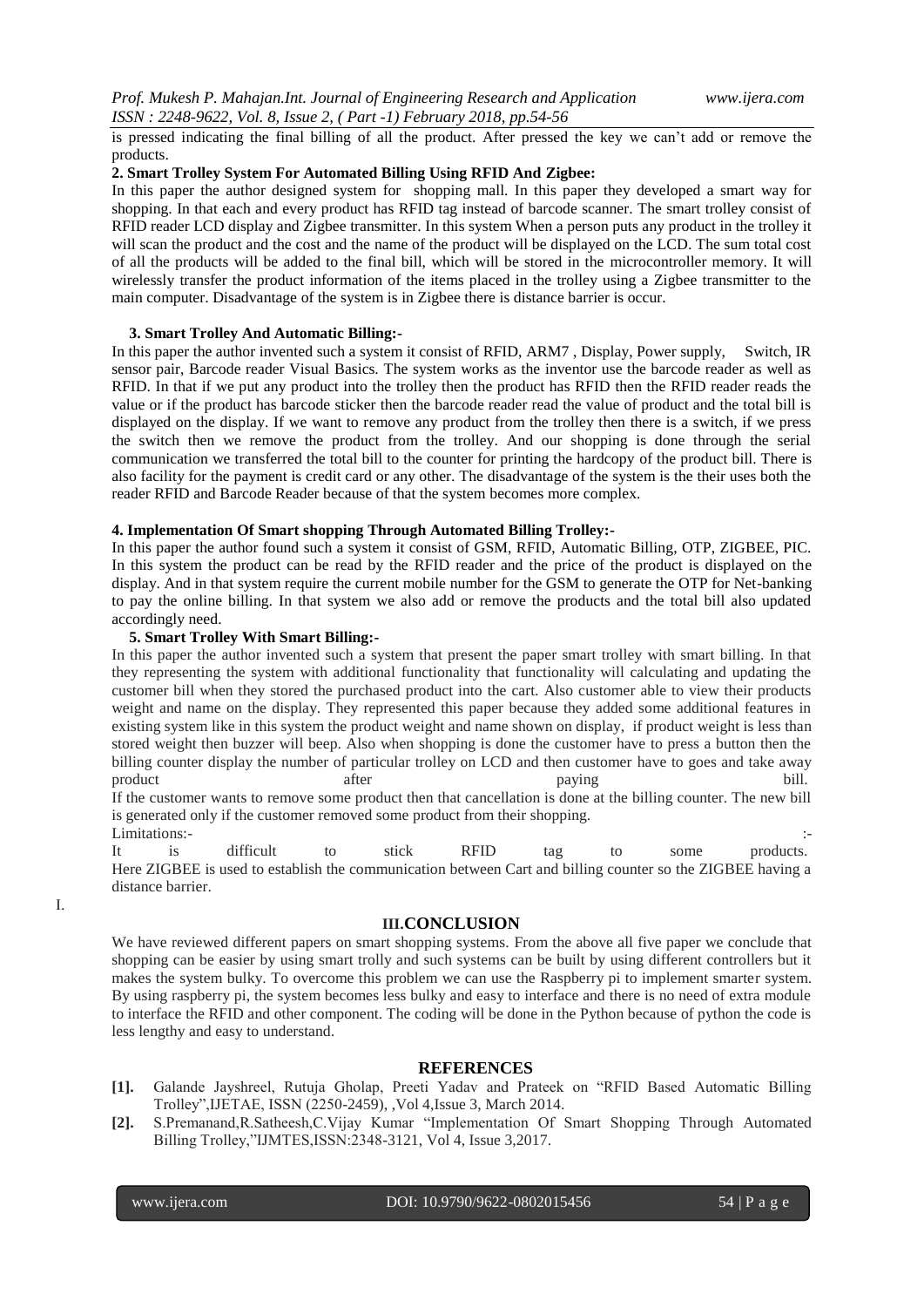is pressed indicating the final billing of all the product. After pressed the key we can't add or remove the products.

## **2. Smart Trolley System For Automated Billing Using RFID And Zigbee:**

In this paper the author designed system for shopping mall. In this paper they developed a smart way for shopping. In that each and every product has RFID tag instead of barcode scanner. The smart trolley consist of RFID reader LCD display and Zigbee transmitter. In this system When a person puts any product in the trolley it will scan the product and the cost and the name of the product will be displayed on the LCD. The sum total cost of all the products will be added to the final bill, which will be stored in the microcontroller memory. It will wirelessly transfer the product information of the items placed in the trolley using a Zigbee transmitter to the main computer. Disadvantage of the system is in Zigbee there is distance barrier is occur.

## **3. Smart Trolley And Automatic Billing:-**

In this paper the author invented such a system it consist of RFID, ARM7 , Display, Power supply, Switch, IR sensor pair, Barcode reader Visual Basics. The system works as the inventor use the barcode reader as well as RFID. In that if we put any product into the trolley then the product has RFID then the RFID reader reads the value or if the product has barcode sticker then the barcode reader read the value of product and the total bill is displayed on the display. If we want to remove any product from the trolley then there is a switch, if we press the switch then we remove the product from the trolley. And our shopping is done through the serial communication we transferred the total bill to the counter for printing the hardcopy of the product bill. There is also facility for the payment is credit card or any other. The disadvantage of the system is the their uses both the reader RFID and Barcode Reader because of that the system becomes more complex.

#### **4. Implementation Of Smart shopping Through Automated Billing Trolley:-**

In this paper the author found such a system it consist of GSM, RFID, Automatic Billing, OTP, ZIGBEE, PIC. In this system the product can be read by the RFID reader and the price of the product is displayed on the display. And in that system require the current mobile number for the GSM to generate the OTP for Net-banking to pay the online billing. In that system we also add or remove the products and the total bill also updated accordingly need.

#### **5. Smart Trolley With Smart Billing:-**

In this paper the author invented such a system that present the paper smart trolley with smart billing. In that they representing the system with additional functionality that functionality will calculating and updating the customer bill when they stored the purchased product into the cart. Also customer able to view their products weight and name on the display. They represented this paper because they added some additional features in existing system like in this system the product weight and name shown on display, if product weight is less than stored weight then buzzer will beep. Also when shopping is done the customer have to press a button then the billing counter display the number of particular trolley on LCD and then customer have to goes and take away product after a structure after the paying bill. If the customer wants to remove some product then that cancellation is done at the billing counter. The new bill is generated only if the customer removed some product from their shopping. Limitations:-

It is difficult to stick RFID tag to some products. Here ZIGBEE is used to establish the communication between Cart and billing counter so the ZIGBEE having a distance barrier.

I.

## **III.CONCLUSION**

We have reviewed different papers on smart shopping systems. From the above all five paper we conclude that shopping can be easier by using smart trolly and such systems can be built by using different controllers but it makes the system bulky. To overcome this problem we can use the Raspberry pi to implement smarter system. By using raspberry pi, the system becomes less bulky and easy to interface and there is no need of extra module to interface the RFID and other component. The coding will be done in the Python because of python the code is less lengthy and easy to understand.

#### **REFERENCES**

- **[1].** Galande Jayshreel, Rutuja Gholap, Preeti Yadav and Prateek on "RFID Based Automatic Billing Trolley",IJETAE, ISSN (2250-2459), ,Vol 4,Issue 3, March 2014.
- **[2].** S.Premanand,R.Satheesh,C.Vijay Kumar "Implementation Of Smart Shopping Through Automated Billing Trolley,"IJMTES,ISSN:2348-3121, Vol 4, Issue 3,2017.